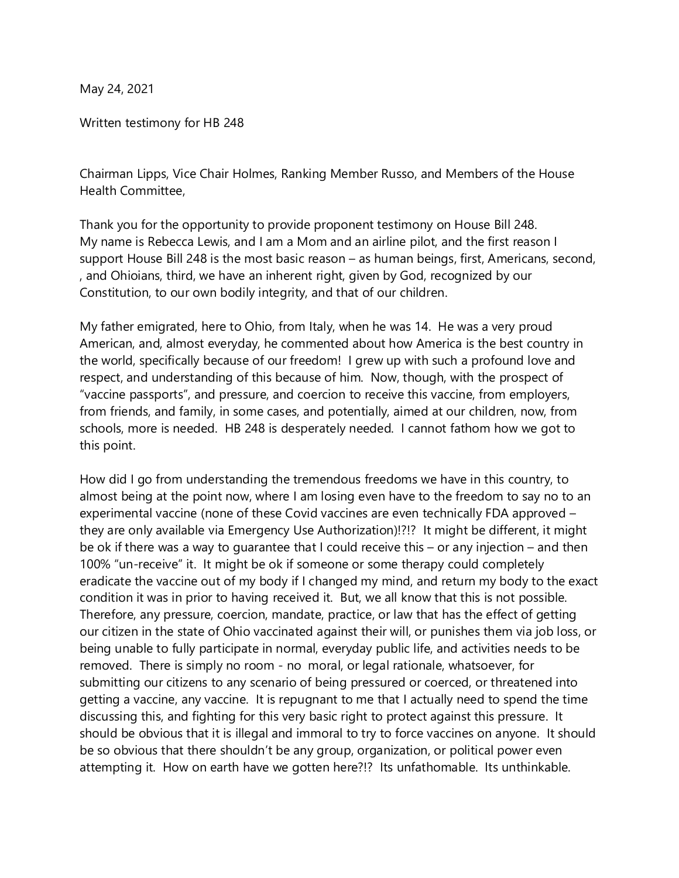May 24, 2021

Written testimony for HB 248

Chairman Lipps, Vice Chair Holmes, Ranking Member Russo, and Members of the House Health Committee,

Thank you for the opportunity to provide proponent testimony on House Bill 248. My name is Rebecca Lewis, and I am a Mom and an airline pilot, and the first reason I support House Bill 248 is the most basic reason – as human beings, first, Americans, second, , and Ohioians, third, we have an inherent right, given by God, recognized by our Constitution, to our own bodily integrity, and that of our children.

My father emigrated, here to Ohio, from Italy, when he was 14. He was a very proud American, and, almost everyday, he commented about how America is the best country in the world, specifically because of our freedom! I grew up with such a profound love and respect, and understanding of this because of him. Now, though, with the prospect of "vaccine passports", and pressure, and coercion to receive this vaccine, from employers, from friends, and family, in some cases, and potentially, aimed at our children, now, from schools, more is needed. HB 248 is desperately needed. I cannot fathom how we got to this point.

How did I go from understanding the tremendous freedoms we have in this country, to almost being at the point now, where I am losing even have to the freedom to say no to an experimental vaccine (none of these Covid vaccines are even technically FDA approved – they are only available via Emergency Use Authorization)!?!? It might be different, it might be ok if there was a way to guarantee that I could receive this – or any injection – and then 100% "un-receive" it. It might be ok if someone or some therapy could completely eradicate the vaccine out of my body if I changed my mind, and return my body to the exact condition it was in prior to having received it. But, we all know that this is not possible. Therefore, any pressure, coercion, mandate, practice, or law that has the effect of getting our citizen in the state of Ohio vaccinated against their will, or punishes them via job loss, or being unable to fully participate in normal, everyday public life, and activities needs to be removed. There is simply no room - no moral, or legal rationale, whatsoever, for submitting our citizens to any scenario of being pressured or coerced, or threatened into getting a vaccine, any vaccine. It is repugnant to me that I actually need to spend the time discussing this, and fighting for this very basic right to protect against this pressure. It should be obvious that it is illegal and immoral to try to force vaccines on anyone. It should be so obvious that there shouldn't be any group, organization, or political power even attempting it. How on earth have we gotten here?!? Its unfathomable. Its unthinkable.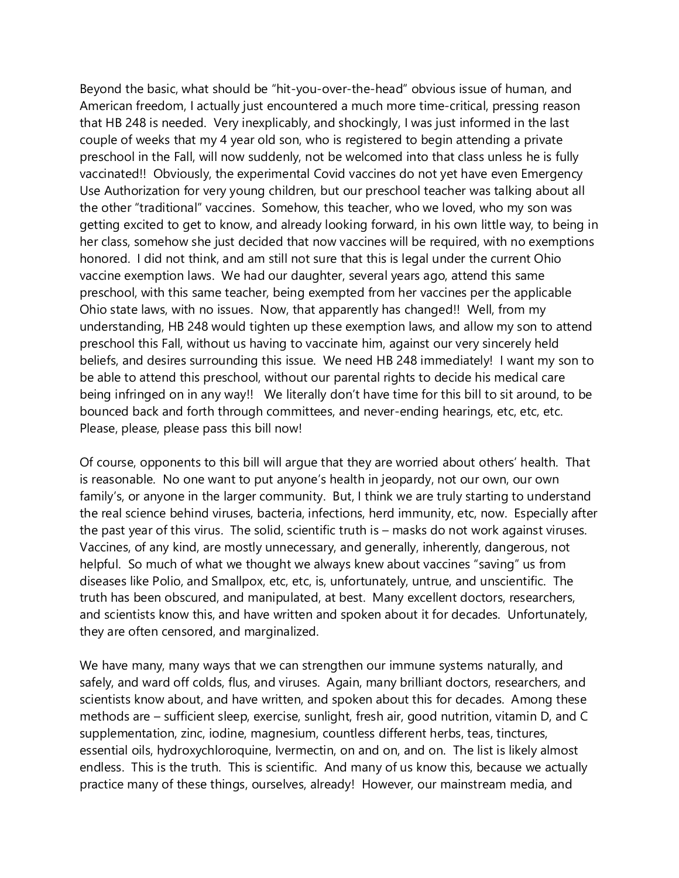Beyond the basic, what should be "hit-you-over-the-head" obvious issue of human, and American freedom, I actually just encountered a much more time-critical, pressing reason that HB 248 is needed. Very inexplicably, and shockingly, I was just informed in the last couple of weeks that my 4 year old son, who is registered to begin attending a private preschool in the Fall, will now suddenly, not be welcomed into that class unless he is fully vaccinated!! Obviously, the experimental Covid vaccines do not yet have even Emergency Use Authorization for very young children, but our preschool teacher was talking about all the other "traditional" vaccines. Somehow, this teacher, who we loved, who my son was getting excited to get to know, and already looking forward, in his own little way, to being in her class, somehow she just decided that now vaccines will be required, with no exemptions honored. I did not think, and am still not sure that this is legal under the current Ohio vaccine exemption laws. We had our daughter, several years ago, attend this same preschool, with this same teacher, being exempted from her vaccines per the applicable Ohio state laws, with no issues. Now, that apparently has changed!! Well, from my understanding, HB 248 would tighten up these exemption laws, and allow my son to attend preschool this Fall, without us having to vaccinate him, against our very sincerely held beliefs, and desires surrounding this issue. We need HB 248 immediately! I want my son to be able to attend this preschool, without our parental rights to decide his medical care being infringed on in any way!! We literally don't have time for this bill to sit around, to be bounced back and forth through committees, and never-ending hearings, etc, etc, etc. Please, please, please pass this bill now!

Of course, opponents to this bill will argue that they are worried about others' health. That is reasonable. No one want to put anyone's health in jeopardy, not our own, our own family's, or anyone in the larger community. But, I think we are truly starting to understand the real science behind viruses, bacteria, infections, herd immunity, etc, now. Especially after the past year of this virus. The solid, scientific truth is – masks do not work against viruses. Vaccines, of any kind, are mostly unnecessary, and generally, inherently, dangerous, not helpful. So much of what we thought we always knew about vaccines "saving" us from diseases like Polio, and Smallpox, etc, etc, is, unfortunately, untrue, and unscientific. The truth has been obscured, and manipulated, at best. Many excellent doctors, researchers, and scientists know this, and have written and spoken about it for decades. Unfortunately, they are often censored, and marginalized.

We have many, many ways that we can strengthen our immune systems naturally, and safely, and ward off colds, flus, and viruses. Again, many brilliant doctors, researchers, and scientists know about, and have written, and spoken about this for decades. Among these methods are – sufficient sleep, exercise, sunlight, fresh air, good nutrition, vitamin D, and C supplementation, zinc, iodine, magnesium, countless different herbs, teas, tinctures, essential oils, hydroxychloroquine, Ivermectin, on and on, and on. The list is likely almost endless. This is the truth. This is scientific. And many of us know this, because we actually practice many of these things, ourselves, already! However, our mainstream media, and